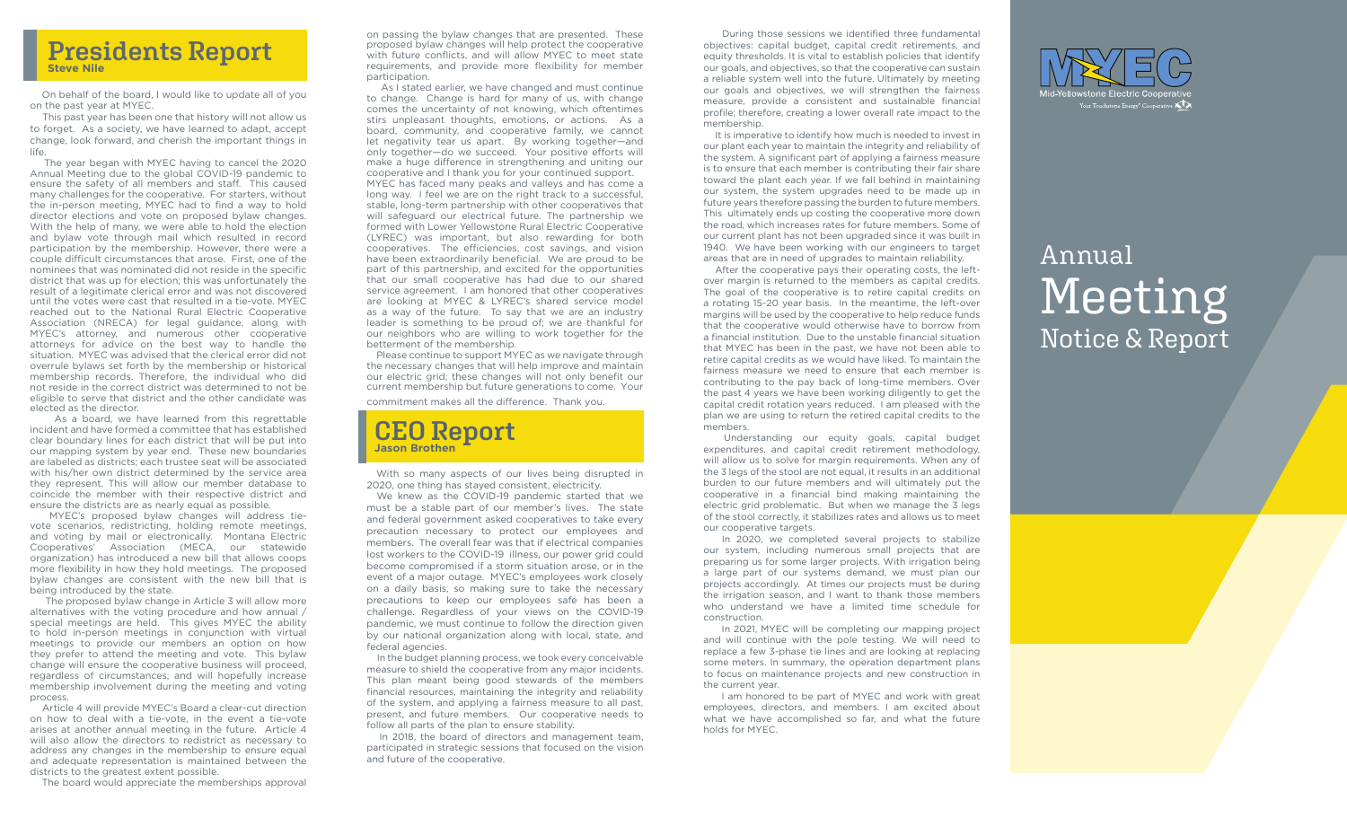

 On behalf of the board, I would like to update all of you on the past year at MYEC.

 This past year has been one that history will not allow us to forget. As a society, we have learned to adapt, accept change, look forward, and cherish the important things in life.

 The year began with MYEC having to cancel the 2020 Annual Meeting due to the global COVID-19 pandemic to ensure the safety of all members and staff. This caused many challenges for the cooperative. For starters, without the in-person meeting, MYEC had to find a way to hold director elections and vote on proposed bylaw changes. With the help of many, we were able to hold the election and bylaw vote through mail which resulted in record participation by the membership. However, there were a couple difficult circumstances that arose. First, one of the nominees that was nominated did not reside in the specific district that was up for election; this was unfortunately the result of a legitimate clerical error and was not discovered until the votes were cast that resulted in a tie-vote. MYEC reached out to the National Rural Electric Cooperative Association (NRECA) for legal guidance, along with MYEC's attorney, and numerous other cooperative attorneys for advice on the best way to handle the situation. MYEC was advised that the clerical error did not overrule bylaws set forth by the membership or historical membership records. Therefore, the individual who did not reside in the correct district was determined to not be eligible to serve that district and the other candidate was elected as the director.

 As a board, we have learned from this regrettable incident and have formed a committee that has established clear boundary lines for each district that will be put into our mapping system by year end. These new boundaries are labeled as districts; each trustee seat will be associated with his/her own district determined by the service area they represent. This will allow our member database to coincide the member with their respective district and ensure the districts are as nearly equal as possible.

 MYEC's proposed bylaw changes will address tievote scenarios, redistricting, holding remote meetings, and voting by mail or electronically. Montana Electric Cooperatives' Association (MECA, our statewide organization) has introduced a new bill that allows coops more flexibility in how they hold meetings. The proposed bylaw changes are consistent with the new bill that is being introduced by the state.

 The proposed bylaw change in Article 3 will allow more alternatives with the voting procedure and how annual / special meetings are held. This gives MYEC the ability to hold in-person meetings in conjunction with virtual meetings to provide our members an option on how they prefer to attend the meeting and vote. This bylaw change will ensure the cooperative business will proceed, regardless of circumstances, and will hopefully increase membership involvement during the meeting and voting process.

 Article 4 will provide MYEC's Board a clear-cut direction on how to deal with a tie-vote, in the event a tie-vote arises at another annual meeting in the future. Article 4 will also allow the directors to redistrict as necessary to address any changes in the membership to ensure equal and adequate representation is maintained between the districts to the greatest extent possible.

The board would appreciate the memberships approval

on passing the bylaw changes that are presented. These proposed bylaw changes will help protect the cooperative with future conflicts, and will allow MYEC to meet state requirements, and provide more flexibility for member participation.

 As I stated earlier, we have changed and must continue to change. Change is hard for many of us, with change comes the uncertainty of not knowing, which oftentimes stirs unpleasant thoughts, emotions, or actions. As a board, community, and cooperative family, we cannot let negativity tear us apart. By working together—and only together—do we succeed. Your positive efforts will make a huge difference in strengthening and uniting our cooperative and I thank you for your continued support. MYEC has faced many peaks and valleys and has come a long way. I feel we are on the right track to a successful, stable, long-term partnership with other cooperatives that will safeguard our electrical future. The partnership we formed with Lower Yellowstone Rural Electric Cooperative (LYREC) was important, but also rewarding for both cooperatives. The efficiencies, cost savings, and vision have been extraordinarily beneficial. We are proud to be part of this partnership, and excited for the opportunities that our small cooperative has had due to our shared service agreement. I am honored that other cooperatives are looking at MYEC & LYREC's shared service model as a way of the future. To say that we are an industry leader is something to be proud of; we are thankful for our neighbors who are willing to work together for the betterment of the membership.

 Please continue to support MYEC as we navigate through the necessary changes that will help improve and maintain our electric grid; these changes will not only benefit our current membership but future generations to come. Your commitment makes all the difference. Thank you.

### **CEO Report Jason Brothen**

 With so many aspects of our lives being disrupted in 2020, one thing has stayed consistent, electricity.

 We knew as the COVID-19 pandemic started that we must be a stable part of our member's lives. The state and federal government asked cooperatives to take every precaution necessary to protect our employees and members. The overall fear was that if electrical companies lost workers to the COVID-19 illness, our power grid could become compromised if a storm situation arose, or in the event of a major outage. MYEC's employees work closely on a daily basis, so making sure to take the necessary precautions to keep our employees safe has been a challenge. Regardless of your views on the COVID-19 pandemic, we must continue to follow the direction given by our national organization along with local, state, and federal agencies.

 In the budget planning process, we took every conceivable measure to shield the cooperative from any major incidents. This plan meant being good stewards of the members financial resources, maintaining the integrity and reliability of the system, and applying a fairness measure to all past, present, and future members. Our cooperative needs to follow all parts of the plan to ensure stability.

 In 2018, the board of directors and management team, participated in strategic sessions that focused on the vision and future of the cooperative.

 During those sessions we identified three fundamental objectives: capital budget, capital credit retirements, and equity thresholds. It is vital to establish policies that identify our goals, and objectives, so that the cooperative can sustain a reliable system well into the future. Ultimately by meeting our goals and objectives, we will strengthen the fairness measure, provide a consistent and sustainable financial profile; therefore, creating a lower overall rate impact to the membership.

 It is imperative to identify how much is needed to invest in our plant each year to maintain the integrity and reliability of the system. A significant part of applying a fairness measure is to ensure that each member is contributing their fair share toward the plant each year. If we fall behind in maintaining our system, the system upgrades need to be made up in future years therefore passing the burden to future members. This ultimately ends up costing the cooperative more down the road, which increases rates for future members. Some of our current plant has not been upgraded since it was built in 1940. We have been working with our engineers to target areas that are in need of upgrades to maintain reliability.

 After the cooperative pays their operating costs, the leftover margin is returned to the members as capital credits. The goal of the cooperative is to retire capital credits on a rotating 15-20 year basis. In the meantime, the left-over margins will be used by the cooperative to help reduce funds that the cooperative would otherwise have to borrow from a financial institution. Due to the unstable financial situation that MYEC has been in the past, we have not been able to retire capital credits as we would have liked. To maintain the fairness measure we need to ensure that each member is contributing to the pay back of long-time members. Over the past 4 years we have been working diligently to get the capital credit rotation years reduced. I am pleased with the plan we are using to return the retired capital credits to the members.

 Understanding our equity goals, capital budget expenditures, and capital credit retirement methodology, will allow us to solve for margin requirements. When any of the 3 legs of the stool are not equal, it results in an additional burden to our future members and will ultimately put the cooperative in a financial bind making maintaining the electric grid problematic. But when we manage the 3 legs of the stool correctly, it stabilizes rates and allows us to meet our cooperative targets.

preparing us for some larger projects. With irrigation being In 2020, we completed several projects to stabilize our system, including numerous small projects that are a large part of our systems demand, we must plan our projects accordingly. At times our projects must be during the irrigation season, and I want to thank those members who understand we have a limited time schedule for construction.

some meters. In summary, the operation department plans to focus on maintenance projects and new construction in<br>the current year In 2021, MYEC will be completing our mapping project and will continue with the pole testing. We will need to replace a few 3-phase tie lines and are looking at replacing the current year.

 I am honored to be part of MYEC and work with great employees, directors, and members. I am excited about what we have accomplished so far, and what the future holds for MYEC.



# Annual Meeting Notice & Report